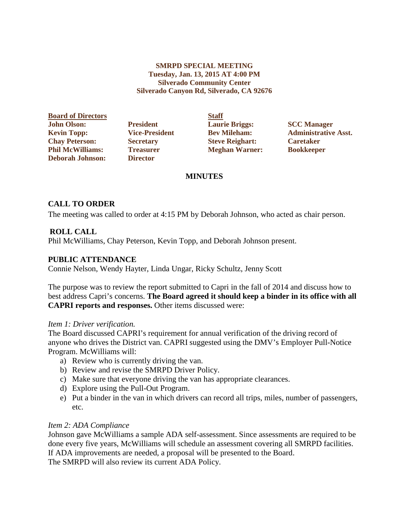### **SMRPD SPECIAL MEETING Tuesday, Jan. 13, 2015 AT 4:00 PM Silverado Community Center Silverado Canyon Rd, Silverado, CA 92676**

**Board of Directors Staff John Olson: President Laurie Briggs: SCC Manager Chay Peterson: Secretary Steve Reighart: Caretaker Phil McWilliams: Treasurer Meghan Warner: Bookkeeper Deborah Johnson:** 

**Kevin Topp: Vice-President Bev Mileham: Administrative Asst.**

# **MINUTES**

# **CALL TO ORDER**

The meeting was called to order at 4:15 PM by Deborah Johnson, who acted as chair person.

# **ROLL CALL**

Phil McWilliams, Chay Peterson, Kevin Topp, and Deborah Johnson present.

## **PUBLIC ATTENDANCE**

Connie Nelson, Wendy Hayter, Linda Ungar, Ricky Schultz, Jenny Scott

The purpose was to review the report submitted to Capri in the fall of 2014 and discuss how to best address Capri's concerns. **The Board agreed it should keep a binder in its office with all CAPRI reports and responses.** Other items discussed were:

## *Item 1: Driver verification.*

The Board discussed CAPRI's requirement for annual verification of the driving record of anyone who drives the District van. CAPRI suggested using the DMV's Employer Pull-Notice Program. McWilliams will:

- a) Review who is currently driving the van.
- b) Review and revise the SMRPD Driver Policy.
- c) Make sure that everyone driving the van has appropriate clearances.
- d) Explore using the Pull-Out Program.
- e) Put a binder in the van in which drivers can record all trips, miles, number of passengers, etc.

## *Item 2: ADA Compliance*

Johnson gave McWilliams a sample ADA self-assessment. Since assessments are required to be done every five years, McWilliams will schedule an assessment covering all SMRPD facilities. If ADA improvements are needed, a proposal will be presented to the Board.

The SMRPD will also review its current ADA Policy.